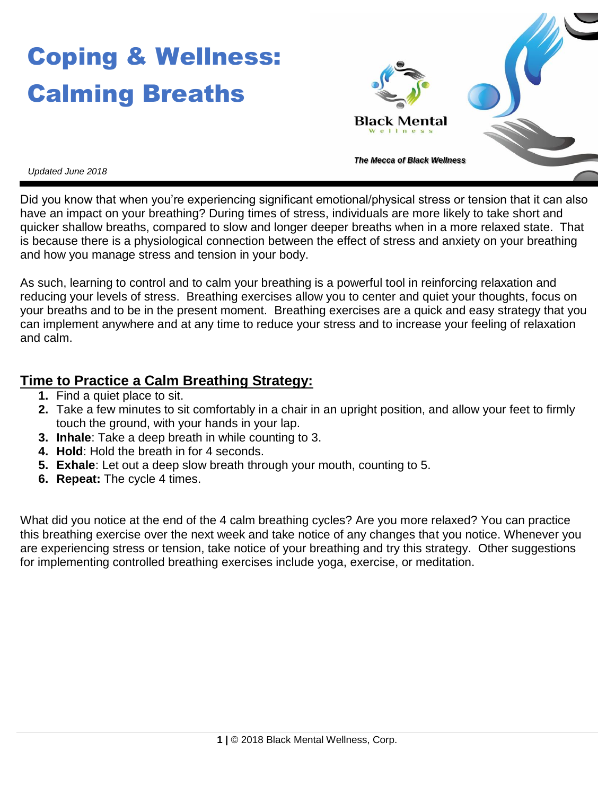# Coping & Wellness: Calming Breaths



*Updated June 2018*

Did you know that when you're experiencing significant emotional/physical stress or tension that it can also have an impact on your breathing? During times of stress, individuals are more likely to take short and quicker shallow breaths, compared to slow and longer deeper breaths when in a more relaxed state. That is because there is a physiological connection between the effect of stress and anxiety on your breathing and how you manage stress and tension in your body.

As such, learning to control and to calm your breathing is a powerful tool in reinforcing relaxation and reducing your levels of stress. Breathing exercises allow you to center and quiet your thoughts, focus on your breaths and to be in the present moment. Breathing exercises are a quick and easy strategy that you can implement anywhere and at any time to reduce your stress and to increase your feeling of relaxation and calm.

### **Time to Practice a Calm Breathing Strategy:**

- **1.** Find a quiet place to sit.
- **2.** Take a few minutes to sit comfortably in a chair in an upright position, and allow your feet to firmly touch the ground, with your hands in your lap.
- **3. Inhale**: Take a deep breath in while counting to 3.
- **4. Hold**: Hold the breath in for 4 seconds.
- **5. Exhale**: Let out a deep slow breath through your mouth, counting to 5.
- **6. Repeat:** The cycle 4 times.

What did you notice at the end of the 4 calm breathing cycles? Are you more relaxed? You can practice this breathing exercise over the next week and take notice of any changes that you notice. Whenever you are experiencing stress or tension, take notice of your breathing and try this strategy. Other suggestions for implementing controlled breathing exercises include yoga, exercise, or meditation.